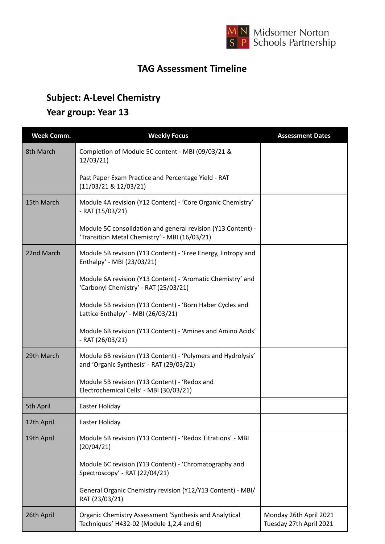

## **TAG Assessment Timeline**

## **Subject: A-Level Chemistry**

## **Year group: Year 13**

| <b>Week Comm.</b> | <b>Weekly Focus</b>                                                                                           | <b>Assessment Dates</b>                           |
|-------------------|---------------------------------------------------------------------------------------------------------------|---------------------------------------------------|
| 8th March         | Completion of Module 5C content - MBI (09/03/21 &<br>12/03/21                                                 |                                                   |
|                   | Past Paper Exam Practice and Percentage Yield - RAT<br>(11/03/21 & 12/03/21)                                  |                                                   |
| 15th March        | Module 4A revision (Y12 Content) - 'Core Organic Chemistry'<br>$-RAT(15/03/21)$                               |                                                   |
|                   | Module 5C consolidation and general revision (Y13 Content) -<br>'Transition Metal Chemistry' - MBI (16/03/21) |                                                   |
| 22nd March        | Module 5B revision (Y13 Content) - 'Free Energy, Entropy and<br>Enthalpy' - MBI (23/03/21)                    |                                                   |
|                   | Module 6A revision (Y13 Content) - 'Aromatic Chemistry' and<br>'Carbonyl Chemistry' - RAT (25/03/21)          |                                                   |
|                   | Module 5B revision (Y13 Content) - 'Born Haber Cycles and<br>Lattice Enthalpy' - MBI (26/03/21)               |                                                   |
|                   | Module 6B revision (Y13 Content) - 'Amines and Amino Acids'<br>$-RAT (26/03/21)$                              |                                                   |
| 29th March        | Module 6B revision (Y13 Content) - 'Polymers and Hydrolysis'<br>and 'Organic Synthesis' - RAT (29/03/21)      |                                                   |
|                   | Module 5B revision (Y13 Content) - 'Redox and<br>Electrochemical Cells' - MBI (30/03/21)                      |                                                   |
| 5th April         | Easter Holiday                                                                                                |                                                   |
| 12th April        | Easter Holiday                                                                                                |                                                   |
| 19th April        | Module 5B revision (Y13 Content) - 'Redox Titrations' - MBI<br>(20/04/21)                                     |                                                   |
|                   | Module 6C revision (Y13 Content) - 'Chromatography and<br>Spectroscopy' - RAT (22/04/21)                      |                                                   |
|                   | General Organic Chemistry revision (Y12/Y13 Content) - MBI/<br>RAT (23/03/21)                                 |                                                   |
| 26th April        | Organic Chemistry Assessment 'Synthesis and Analytical<br>Techniques' H432-02 (Module 1,2,4 and 6)            | Monday 26th April 2021<br>Tuesday 27th April 2021 |